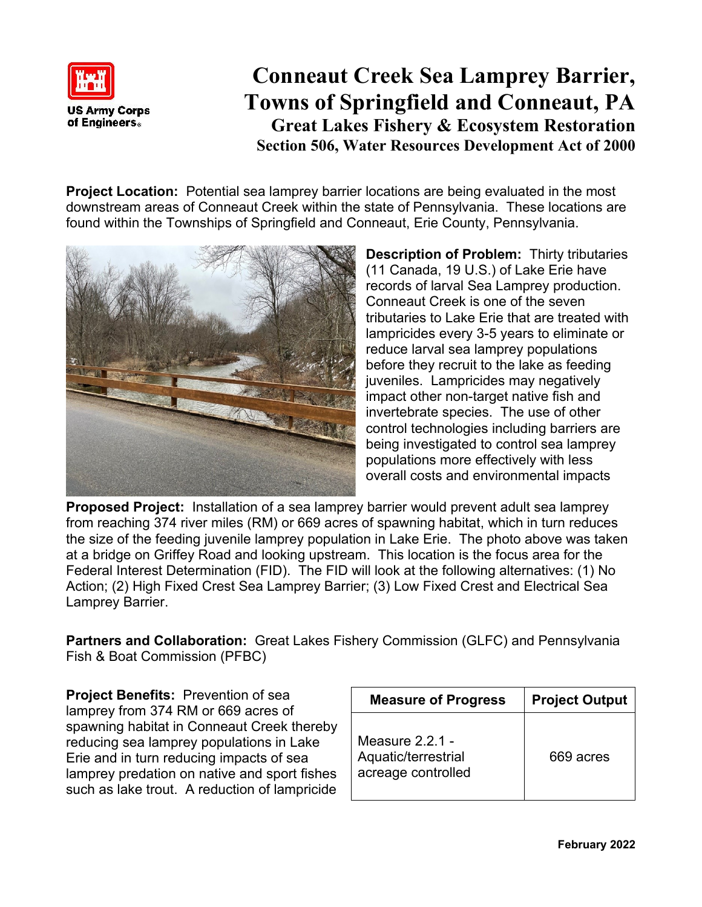

## **Conneaut Creek Sea Lamprey Barrier, Towns of Springfield and Conneaut, PA Great Lakes Fishery & Ecosystem Restoration Section 506, Water Resources Development Act of 2000**

**Project Location:** Potential sea lamprey barrier locations are being evaluated in the most downstream areas of Conneaut Creek within the state of Pennsylvania. These locations are found within the Townships of Springfield and Conneaut, Erie County, Pennsylvania.



**Description of Problem:** Thirty tributaries (11 Canada, 19 U.S.) of Lake Erie have records of larval Sea Lamprey production. Conneaut Creek is one of the seven tributaries to Lake Erie that are treated with lampricides every 3-5 years to eliminate or reduce larval sea lamprey populations before they recruit to the lake as feeding juveniles. Lampricides may negatively impact other non-target native fish and invertebrate species. The use of other control technologies including barriers are being investigated to control sea lamprey populations more effectively with less overall costs and environmental impacts

**Proposed Project:** Installation of a sea lamprey barrier would prevent adult sea lamprey from reaching 374 river miles (RM) or 669 acres of spawning habitat, which in turn reduces the size of the feeding juvenile lamprey population in Lake Erie. The photo above was taken at a bridge on Griffey Road and looking upstream. This location is the focus area for the Federal Interest Determination (FID). The FID will look at the following alternatives: (1) No Action; (2) High Fixed Crest Sea Lamprey Barrier; (3) Low Fixed Crest and Electrical Sea Lamprey Barrier.

**Partners and Collaboration:** Great Lakes Fishery Commission (GLFC) and Pennsylvania Fish & Boat Commission (PFBC)

**Project Benefits:** Prevention of sea lamprey from 374 RM or 669 acres of spawning habitat in Conneaut Creek thereby reducing sea lamprey populations in Lake Erie and in turn reducing impacts of sea lamprey predation on native and sport fishes such as lake trout. A reduction of lampricide

| <b>Measure of Progress</b>                                     | <b>Project Output</b> |
|----------------------------------------------------------------|-----------------------|
| Measure $2.2.1 -$<br>Aquatic/terrestrial<br>acreage controlled | 669 acres             |